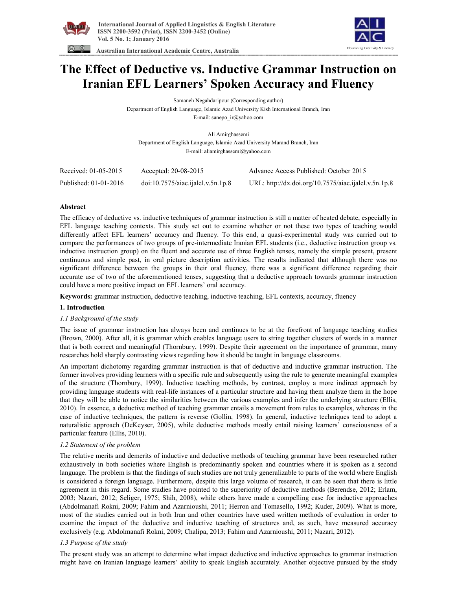



 **Australian International Academic Centre, Australia** 

# **The Effect of Deductive vs. Inductive Grammar Instruction on Iranian EFL Learners' Spoken Accuracy and Fluency**

Samaneh Negahdaripour (Corresponding author)

Department of English Language, Islamic Azad University Kish International Branch, Iran

E-mail: sanepo\_ir@yahoo.com

Ali Amirghassemi Department of English Language, Islamic Azad University Marand Branch, Iran E-mail: aliamirghassemi@yahoo.com

| Received: 01-05-2015  | Accepted: 20-08-2015              | Advance Access Published: October 2015               |
|-----------------------|-----------------------------------|------------------------------------------------------|
| Published: 01-01-2016 | doi:10.7575/aiac.ijalel.v.5n.1p.8 | URL: http://dx.doi.org/10.7575/aiac.ijalel.v.5n.1p.8 |

# **Abstract**

The efficacy of deductive vs. inductive techniques of grammar instruction is still a matter of heated debate, especially in EFL language teaching contexts. This study set out to examine whether or not these two types of teaching would differently affect EFL learners' accuracy and fluency. To this end, a quasi-experimental study was carried out to compare the performances of two groups of pre-intermediate Iranian EFL students (i.e., deductive instruction group vs. inductive instruction group) on the fluent and accurate use of three English tenses, namely the simple present, present continuous and simple past, in oral picture description activities. The results indicated that although there was no significant difference between the groups in their oral fluency, there was a significant difference regarding their accurate use of two of the aforementioned tenses, suggesting that a deductive approach towards grammar instruction could have a more positive impact on EFL learners' oral accuracy.

**Keywords:** grammar instruction, deductive teaching, inductive teaching, EFL contexts, accuracy, fluency

## **1. Introduction**

## *1.1 Background of the study*

The issue of grammar instruction has always been and continues to be at the forefront of language teaching studies (Brown, 2000). After all, it is grammar which enables language users to string together clusters of words in a manner that is both correct and meaningful (Thornbury, 1999). Despite their agreement on the importance of grammar, many researches hold sharply contrasting views regarding how it should be taught in language classrooms.

An important dichotomy regarding grammar instruction is that of deductive and inductive grammar instruction. The former involves providing learners with a specific rule and subsequently using the rule to generate meaningful examples of the structure (Thornbury, 1999). Inductive teaching methods, by contrast, employ a more indirect approach by providing language students with real-life instances of a particular structure and having them analyze them in the hope that they will be able to notice the similarities between the various examples and infer the underlying structure (Ellis, 2010). In essence, a deductive method of teaching grammar entails a movement from rules to examples, whereas in the case of inductive techniques, the pattern is reverse (Gollin, 1998). In general, inductive techniques tend to adopt a naturalistic approach (DeKeyser, 2005), while deductive methods mostly entail raising learners' consciousness of a particular feature (Ellis, 2010).

## *1.2 Statement of the problem*

The relative merits and demerits of inductive and deductive methods of teaching grammar have been researched rather exhaustively in both societies where English is predominantly spoken and countries where it is spoken as a second language. The problem is that the findings of such studies are not truly generalizable to parts of the world where English is considered a foreign language. Furthermore, despite this large volume of research, it can be seen that there is little agreement in this regard. Some studies have pointed to the superiority of deductive methods (Berendse, 2012; Erlam, 2003; Nazari, 2012; Seliger, 1975; Shih, 2008), while others have made a compelling case for inductive approaches (Abdolmanafi Rokni, 2009; Fahim and Azarnioushi, 2011; Herron and Tomasello, 1992; Kuder, 2009). What is more, most of the studies carried out in both Iran and other countries have used written methods of evaluation in order to examine the impact of the deductive and inductive teaching of structures and, as such, have measured accuracy exclusively (e.g. Abdolmanafi Rokni, 2009; Chalipa, 2013; Fahim and Azarnioushi, 2011; Nazari, 2012).

# *1.3 Purpose of the study*

The present study was an attempt to determine what impact deductive and inductive approaches to grammar instruction might have on Iranian language learners' ability to speak English accurately. Another objective pursued by the study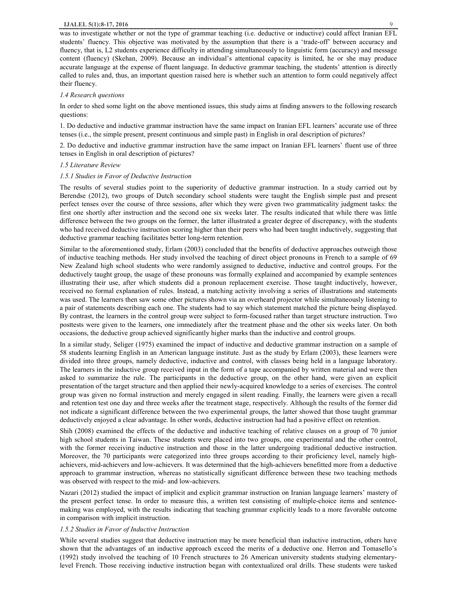#### **IJALEL 5(1):8-17, 2016** 9

was to investigate whether or not the type of grammar teaching (i.e. deductive or inductive) could affect Iranian EFL students' fluency. This objective was motivated by the assumption that there is a 'trade-off' between accuracy and fluency, that is, L2 students experience difficulty in attending simultaneously to linguistic form (accuracy) and message content (fluency) (Skehan, 2009). Because an individual's attentional capacity is limited, he or she may produce accurate language at the expense of fluent language. In deductive grammar teaching, the students' attention is directly called to rules and, thus, an important question raised here is whether such an attention to form could negatively affect their fluency.

#### *1.4 Research questions*

In order to shed some light on the above mentioned issues, this study aims at finding answers to the following research questions:

1. Do deductive and inductive grammar instruction have the same impact on Iranian EFL learners' accurate use of three tenses (i.e., the simple present, present continuous and simple past) in English in oral description of pictures?

2. Do deductive and inductive grammar instruction have the same impact on Iranian EFL learners' fluent use of three tenses in English in oral description of pictures?

### *1.5 Literature Review*

#### *1.5.1 Studies in Favor of Deductive Instruction*

The results of several studies point to the superiority of deductive grammar instruction. In a study carried out by Berendse (2012), two groups of Dutch secondary school students were taught the English simple past and present perfect tenses over the course of three sessions, after which they were given two grammaticality judgment tasks: the first one shortly after instruction and the second one six weeks later. The results indicated that while there was little difference between the two groups on the former, the latter illustrated a greater degree of discrepancy, with the students who had received deductive instruction scoring higher than their peers who had been taught inductively, suggesting that deductive grammar teaching facilitates better long-term retention.

Similar to the aforementioned study, Erlam (2003) concluded that the benefits of deductive approaches outweigh those of inductive teaching methods. Her study involved the teaching of direct object pronouns in French to a sample of 69 New Zealand high school students who were randomly assigned to deductive, inductive and control groups. For the deductively taught group, the usage of these pronouns was formally explained and accompanied by example sentences illustrating their use, after which students did a pronoun replacement exercise. Those taught inductively, however, received no formal explanation of rules. Instead, a matching activity involving a series of illustrations and statements was used. The learners then saw some other pictures shown via an overheard projector while simultaneously listening to a pair of statements describing each one. The students had to say which statement matched the picture being displayed. By contrast, the learners in the control group were subject to form-focused rather than target structure instruction. Two posttests were given to the learners, one immediately after the treatment phase and the other six weeks later. On both occasions, the deductive group achieved significantly higher marks than the inductive and control groups.

In a similar study, Seliger (1975) examined the impact of inductive and deductive grammar instruction on a sample of 58 students learning English in an American language institute. Just as the study by Erlam (2003), these learners were divided into three groups, namely deductive, inductive and control, with classes being held in a language laboratory. The learners in the inductive group received input in the form of a tape accompanied by written material and were then asked to summarize the rule. The participants in the deductive group, on the other hand, were given an explicit presentation of the target structure and then applied their newly-acquired knowledge to a series of exercises. The control group was given no formal instruction and merely engaged in silent reading. Finally, the learners were given a recall and retention test one day and three weeks after the treatment stage, respectively. Although the results of the former did not indicate a significant difference between the two experimental groups, the latter showed that those taught grammar deductively enjoyed a clear advantage. In other words, deductive instruction had had a positive effect on retention.

Shih (2008) examined the effects of the deductive and inductive teaching of relative clauses on a group of 70 junior high school students in Taiwan. These students were placed into two groups, one experimental and the other control, with the former receiving inductive instruction and those in the latter undergoing traditional deductive instruction. Moreover, the 70 participants were categorized into three groups according to their proficiency level, namely highachievers, mid-achievers and low-achievers. It was determined that the high-achievers benefitted more from a deductive approach to grammar instruction, whereas no statistically significant difference between these two teaching methods was observed with respect to the mid- and low-achievers.

Nazari (2012) studied the impact of implicit and explicit grammar instruction on Iranian language learners' mastery of the present perfect tense. In order to measure this, a written test consisting of multiple-choice items and sentencemaking was employed, with the results indicating that teaching grammar explicitly leads to a more favorable outcome in comparison with implicit instruction.

### *1.5.2 Studies in Favor of Inductive Instruction*

While several studies suggest that deductive instruction may be more beneficial than inductive instruction, others have shown that the advantages of an inductive approach exceed the merits of a deductive one. Herron and Tomasello's (1992) study involved the teaching of 10 French structures to 26 American university students studying elementarylevel French. Those receiving inductive instruction began with contextualized oral drills. These students were tasked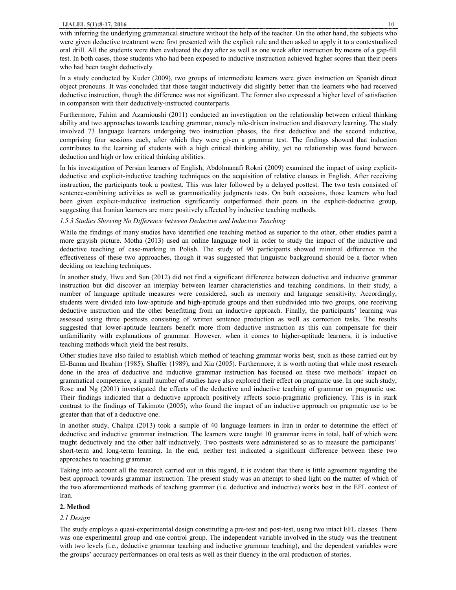#### **IJALEL 5(1):8-17, 2016** 10

In a study conducted by Kuder (2009), two groups of intermediate learners were given instruction on Spanish direct object pronouns. It was concluded that those taught inductively did slightly better than the learners who had received deductive instruction, though the difference was not significant. The former also expressed a higher level of satisfaction in comparison with their deductively-instructed counterparts.

Furthermore, Fahim and Azarnioushi (2011) conducted an investigation on the relationship between critical thinking ability and two approaches towards teaching grammar, namely rule-driven instruction and discovery learning. The study involved 73 language learners undergoing two instruction phases, the first deductive and the second inductive, comprising four sessions each, after which they were given a grammar test. The findings showed that induction contributes to the learning of students with a high critical thinking ability, yet no relationship was found between deduction and high or low critical thinking abilities.

In his investigation of Persian learners of English, Abdolmanafi Rokni (2009) examined the impact of using explicitdeductive and explicit-inductive teaching techniques on the acquisition of relative clauses in English. After receiving instruction, the participants took a posttest. This was later followed by a delayed posttest. The two tests consisted of sentence-combining activities as well as grammaticality judgments tests. On both occasions, those learners who had been given explicit-inductive instruction significantly outperformed their peers in the explicit-deductive group, suggesting that Iranian learners are more positively affected by inductive teaching methods.

### *1.5.3 Studies Showing No Difference between Deductive and Inductive Teaching*

While the findings of many studies have identified one teaching method as superior to the other, other studies paint a more grayish picture. Motha (2013) used an online language tool in order to study the impact of the inductive and deductive teaching of case-marking in Polish. The study of 90 participants showed minimal difference in the effectiveness of these two approaches, though it was suggested that linguistic background should be a factor when deciding on teaching techniques.

In another study, Hwu and Sun (2012) did not find a significant difference between deductive and inductive grammar instruction but did discover an interplay between learner characteristics and teaching conditions. In their study, a number of language aptitude measures were considered, such as memory and language sensitivity. Accordingly, students were divided into low-aptitude and high-aptitude groups and then subdivided into two groups, one receiving deductive instruction and the other benefitting from an inductive approach. Finally, the participants' learning was assessed using three posttests consisting of written sentence production as well as correction tasks. The results suggested that lower-aptitude learners benefit more from deductive instruction as this can compensate for their unfamiliarity with explanations of grammar. However, when it comes to higher-aptitude learners, it is inductive teaching methods which yield the best results.

Other studies have also failed to establish which method of teaching grammar works best, such as those carried out by El-Banna and Ibrahim (1985), Shaffer (1989), and Xia (2005). Furthermore, it is worth noting that while most research done in the area of deductive and inductive grammar instruction has focused on these two methods' impact on grammatical competence, a small number of studies have also explored their effect on pragmatic use. In one such study, Rose and Ng (2001) investigated the effects of the deductive and inductive teaching of grammar on pragmatic use. Their findings indicated that a deductive approach positively affects socio-pragmatic proficiency. This is in stark contrast to the findings of Takimoto (2005), who found the impact of an inductive approach on pragmatic use to be greater than that of a deductive one.

In another study, Chalipa (2013) took a sample of 40 language learners in Iran in order to determine the effect of deductive and inductive grammar instruction. The learners were taught 10 grammar items in total, half of which were taught deductively and the other half inductively. Two posttests were administered so as to measure the participants' short-term and long-term learning. In the end, neither test indicated a significant difference between these two approaches to teaching grammar.

Taking into account all the research carried out in this regard, it is evident that there is little agreement regarding the best approach towards grammar instruction. The present study was an attempt to shed light on the matter of which of the two aforementioned methods of teaching grammar (i.e. deductive and inductive) works best in the EFL context of Iran.

## **2. Method**

### *2.1 Design*

The study employs a quasi-experimental design constituting a pre-test and post-test, using two intact EFL classes. There was one experimental group and one control group. The independent variable involved in the study was the treatment with two levels (i.e., deductive grammar teaching and inductive grammar teaching), and the dependent variables were the groups' accuracy performances on oral tests as well as their fluency in the oral production of stories.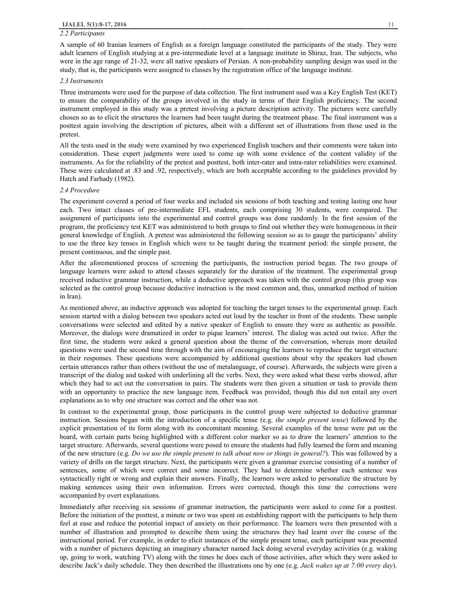#### *2.2 Participants*

A sample of 60 Iranian learners of English as a foreign language constituted the participants of the study. They were adult learners of English studying at a pre-intermediate level at a language institute in Shiraz, Iran. The subjects, who were in the age range of 21-32, were all native speakers of Persian. A non-probability sampling design was used in the study, that is, the participants were assigned to classes by the registration office of the language institute.

### *2.3 Instruments*

Three instruments were used for the purpose of data collection. The first instrument used was a Key English Test (KET) to ensure the comparability of the groups involved in the study in terms of their English proficiency. The second instrument employed in this study was a pretest involving a picture description activity. The pictures were carefully chosen so as to elicit the structures the learners had been taught during the treatment phase. The final instrument was a posttest again involving the description of pictures, albeit with a different set of illustrations from those used in the pretest.

All the tests used in the study were examined by two experienced English teachers and their comments were taken into consideration. These expert judgments were used to come up with some evidence of the content validity of the instruments. As for the reliability of the pretest and posttest, both inter-rater and intra-rater reliabilities were examined. These were calculated at .83 and .92, respectively, which are both acceptable according to the guidelines provided by Hatch and Farhady (1982).

#### *2.4 Procedure*

The experiment covered a period of four weeks and included six sessions of both teaching and testing lasting one hour each. Two intact classes of pre-intermediate EFL students, each comprising 30 students, were compared. The assignment of participants into the experimental and control groups was done randomly. In the first session of the program, the proficiency test KET was administered to both groups to find out whether they were homogeneous in their general knowledge of English. A pretest was administered the following session so as to gauge the participants' ability to use the three key tenses in English which were to be taught during the treatment period: the simple present, the present continuous, and the simple past.

After the aforementioned process of screening the participants, the instruction period began. The two groups of language learners were asked to attend classes separately for the duration of the treatment. The experimental group received inductive grammar instruction, while a deductive approach was taken with the control group (this group was selected as the control group because deductive instruction is the most common and, thus, unmarked method of tuition in Iran).

As mentioned above, an inductive approach was adopted for teaching the target tenses to the experimental group. Each session started with a dialog between two speakers acted out loud by the teacher in front of the students. These sample conversations were selected and edited by a native speaker of English to ensure they were as authentic as possible. Moreover, the dialogs were dramatized in order to pique learners' interest. The dialog was acted out twice. After the first time, the students were asked a general question about the theme of the conversation, whereas more detailed questions were used the second time through with the aim of encouraging the learners to reproduce the target structure in their responses. These questions were accompanied by additional questions about why the speakers had chosen certain utterances rather than others (without the use of metalanguage, of course). Afterwards, the subjects were given a transcript of the dialog and tasked with underlining all the verbs. Next, they were asked what these verbs showed, after which they had to act out the conversation in pairs. The students were then given a situation or task to provide them with an opportunity to practice the new language item. Feedback was provided, though this did not entail any overt explanations as to why one structure was correct and the other was not.

In contrast to the experimental group, those participants in the control group were subjected to deductive grammar instruction. Sessions began with the introduction of a specific tense (e.g. *the simple present tense*) followed by the explicit presentation of its form along with its concomitant meaning. Several examples of the tense were put on the board, with certain parts being highlighted with a different color marker so as to draw the learners' attention to the target structure. Afterwards, several questions were posed to ensure the students had fully learned the form and meaning of the new structure (e.g. *Do we use the simple present to talk about now or things in general?*). This was followed by a variety of drills on the target structure. Next, the participants were given a grammar exercise consisting of a number of sentences, some of which were correct and some incorrect. They had to determine whether each sentence was syntactically right or wrong and explain their answers. Finally, the learners were asked to personalize the structure by making sentences using their own information. Errors were corrected, though this time the corrections were accompanied by overt explanations.

Immediately after receiving six sessions of grammar instruction, the participants were asked to come for a posttest. Before the initiation of the posttest, a minute or two was spent on establishing rapport with the participants to help them feel at ease and reduce the potential impact of anxiety on their performance. The learners were then presented with a number of illustration and prompted to describe them using the structures they had learnt over the course of the instructional period. For example, in order to elicit instances of the simple present tense, each participant was presented with a number of pictures depicting an imaginary character named Jack doing several everyday activities (e.g. waking up, going to work, watching TV) along with the times he does each of those activities, after which they were asked to describe Jack's daily schedule. They then described the illustrations one by one (e.g. *Jack wakes up at 7:00 every day*).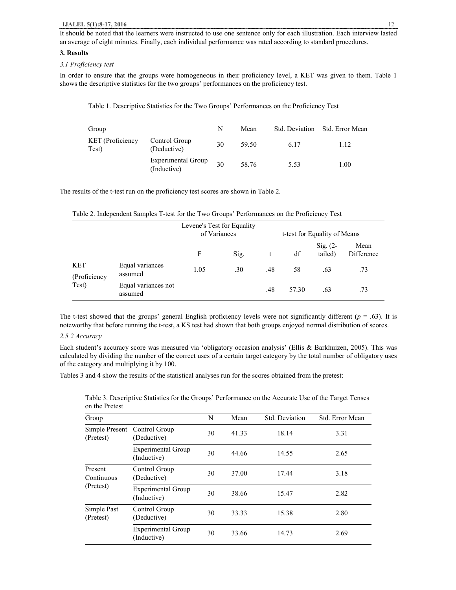## **3. Results**

## *3.1 Proficiency test*

In order to ensure that the groups were homogeneous in their proficiency level, a KET was given to them. Table 1 shows the descriptive statistics for the two groups' performances on the proficiency test.

| Group                     |                                          | N  | Mean  |      | Std. Deviation Std. Error Mean |
|---------------------------|------------------------------------------|----|-------|------|--------------------------------|
| KET (Proficiency<br>Test) | Control Group<br>(Deductive)             | 30 | 59.50 | 6.17 | 1.12                           |
|                           | <b>Experimental Group</b><br>(Inductive) | 30 | 58.76 | 5.53 | 1.00                           |

Table 1. Descriptive Statistics for the Two Groups' Performances on the Proficiency Test

The results of the t-test run on the proficiency test scores are shown in Table 2.

Table 2. Independent Samples T-test for the Two Groups' Performances on the Proficiency Test

|                            |                                | Levene's Test for Equality<br>of Variances |      |     | t-test for Equality of Means |                       |                    |
|----------------------------|--------------------------------|--------------------------------------------|------|-----|------------------------------|-----------------------|--------------------|
|                            |                                | F                                          | Sig. |     | df                           | Sig. $(2-$<br>tailed) | Mean<br>Difference |
| <b>KET</b><br>(Proficiency | Equal variances<br>assumed     | 1.05                                       | .30  | .48 | 58                           | .63                   | .73                |
| Test)                      | Equal variances not<br>assumed |                                            |      | .48 | 57.30                        | .63                   | .73                |

The t-test showed that the groups' general English proficiency levels were not significantly different  $(p = .63)$ . It is noteworthy that before running the t-test, a KS test had shown that both groups enjoyed normal distribution of scores.

## *2.5.2 Accuracy*

Each student's accuracy score was measured via 'obligatory occasion analysis' (Ellis & Barkhuizen, 2005). This was calculated by dividing the number of the correct uses of a certain target category by the total number of obligatory uses of the category and multiplying it by 100.

Tables 3 and 4 show the results of the statistical analyses run for the scores obtained from the pretest:

| Group                       |                                          | N  | Mean  | Std. Deviation | Std. Error Mean |
|-----------------------------|------------------------------------------|----|-------|----------------|-----------------|
| Simple Present<br>(Pretest) | Control Group<br>(Deductive)             | 30 | 41.33 | 18.14          | 3.31            |
|                             | <b>Experimental Group</b><br>(Inductive) | 30 | 44.66 | 14.55          | 2.65            |
| Present<br>Continuous       | Control Group<br>(Deductive)             | 30 | 37.00 | 17.44          | 3.18            |
| (Pretest)                   | <b>Experimental Group</b><br>(Inductive) | 30 | 38.66 | 15.47          | 2.82            |
| Simple Past<br>(Pretest)    | Control Group<br>(Deductive)             | 30 | 33.33 | 15.38          | 2.80            |
|                             | <b>Experimental Group</b><br>(Inductive) | 30 | 33.66 | 14.73          | 2.69            |

Table 3. Descriptive Statistics for the Groups' Performance on the Accurate Use of the Target Tenses on the Pretest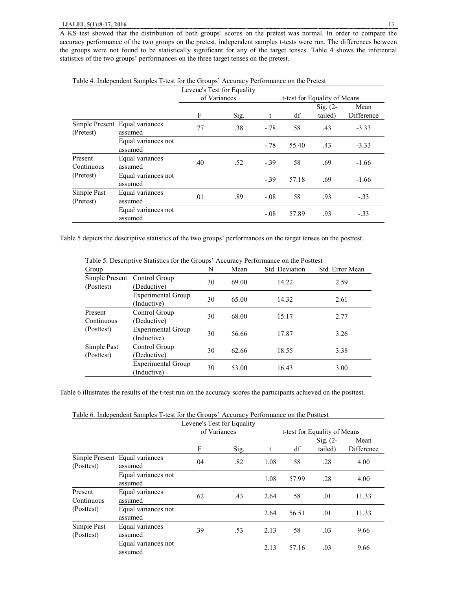A KS test showed that the distribution of both groups' scores on the pretest was normal. In order to compare the accuracy performance of the two groups on the pretest, independent samples t-tests were run. The differences between the groups were not found to be statistically significant for any of the target tenses. Table 4 shows the inferential statistics of the two groups' performances on the three target tenses on the pretest.

|                          |                                           | Levene's Test for Equality |              |             |       |                                                       |                    |
|--------------------------|-------------------------------------------|----------------------------|--------------|-------------|-------|-------------------------------------------------------|--------------------|
|                          |                                           | F                          | of Variances |             | df    | t-test for Equality of Means<br>$Sig. (2-$<br>tailed) | Mean<br>Difference |
| (Pretest)                | Simple Present Equal variances<br>assumed | .77                        | Sig.<br>.38  | t<br>$-.78$ | 58    | .43                                                   | $-3.33$            |
|                          | Equal variances not<br>assumed            |                            |              | $-.78$      | 55.40 | .43                                                   | $-3.33$            |
| Present<br>Continuous    | Equal variances<br>assumed                | .40                        | .52          | $-.39$      | 58    | .69                                                   | $-1.66$            |
| (Pretest)                | Equal variances not<br>assumed            |                            |              | $-.39$      | 57.18 | .69                                                   | $-1.66$            |
| Simple Past<br>(Pretest) | Equal variances<br>assumed                | .01                        | .89          | $-.08$      | 58    | .93                                                   | $-.33$             |
|                          | Equal variances not<br>assumed            |                            |              | $-.08$      | 57.89 | .93                                                   | $-.33$             |

|  |  | Table 4. Independent Samples T-test for the Groups' Accuracy Performance on the Pretest |  |  |  |
|--|--|-----------------------------------------------------------------------------------------|--|--|--|
|--|--|-----------------------------------------------------------------------------------------|--|--|--|

Table 5 depicts the descriptive statistics of the two groups' performances on the target tenses on the posttest.

| Group                     | Table 5. Descriptive statistics for the Groups. Accuracy refrommance on the rostlest | N  | Mean  | Std. Deviation | Std. Error Mean |
|---------------------------|--------------------------------------------------------------------------------------|----|-------|----------------|-----------------|
| (Posttest)                | Simple Present Control Group<br>(Deductive)                                          | 30 | 69.00 | 14.22          | 2.59            |
|                           | Experimental Group<br>(Inductive)                                                    | 30 | 65.00 | 14.32          | 2.61            |
| Present<br>Continuous     | Control Group<br>(Deductive)                                                         | 30 | 68.00 | 15.17          | 2.77            |
| (Posttest)                | Experimental Group<br>(Inductive)                                                    | 30 | 56.66 | 17.87          | 3.26            |
| Simple Past<br>(Posttest) | Control Group<br>(Deductive)                                                         | 30 | 62.66 | 18.55          | 3.38            |
|                           | Experimental Group<br>(Inductive)                                                    | 30 | 53.00 | 16.43          | 3.00            |

Table 5. Descriptive Statistics for the Groups' Accuracy Performance on the Posttest

Table 6 illustrates the results of the t-test run on the accuracy scores the participants achieved on the posttest.

|                           |                                           | Levene's Test for Equality<br>of Variances |      | t-test for Equality of Means |       |                       |                    |
|---------------------------|-------------------------------------------|--------------------------------------------|------|------------------------------|-------|-----------------------|--------------------|
|                           |                                           | F                                          | Sig. | t                            | df    | $Sig. (2-$<br>tailed) | Mean<br>Difference |
| (Posttest)                | Simple Present Equal variances<br>assumed | .04                                        | .82  | 1.08                         | 58    | .28                   | 4.00               |
|                           | Equal variances not<br>assumed            |                                            |      | 1.08                         | 57.99 | .28                   | 4.00               |
| Present<br>Continuous     | Equal variances<br>assumed                | .62                                        | .43  | 2.64                         | 58    | .01                   | 11.33              |
| (Posttest)                | Equal variances not<br>assumed            |                                            |      | 2.64                         | 56.51 | .01                   | 11.33              |
| Simple Past<br>(Posttest) | Equal variances<br>assumed                | .39                                        | .53  | 2.13                         | 58    | .03                   | 9.66               |
|                           | Equal variances not<br>assumed            |                                            |      | 2.13                         | 57.16 | .03                   | 9.66               |

Table 6. Independent Samples T-test for the Groups' Accuracy Performance on the Posttest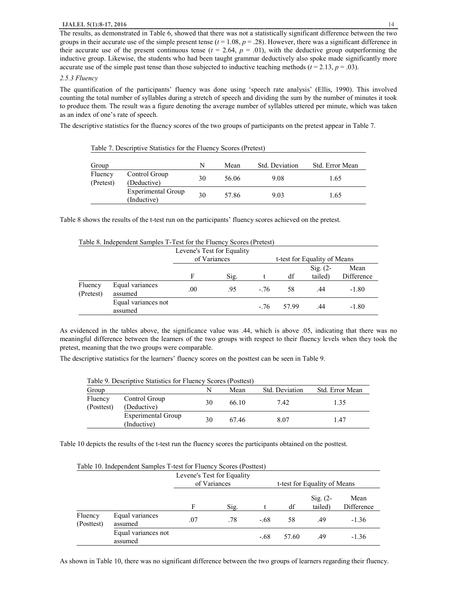#### *2.5.3 Fluency*

The quantification of the participants' fluency was done using 'speech rate analysis' (Ellis, 1990). This involved counting the total number of syllables during a stretch of speech and dividing the sum by the number of minutes it took to produce them. The result was a figure denoting the average number of syllables uttered per minute, which was taken as an index of one's rate of speech.

The descriptive statistics for the fluency scores of the two groups of participants on the pretest appear in Table 7.

| Group                |                                   | N  | Mean  | Std. Deviation | Std. Error Mean |
|----------------------|-----------------------------------|----|-------|----------------|-----------------|
| Fluency<br>(Pretest) | Control Group<br>(Deductive)      | 30 | 56.06 | 9.08           | 1.65            |
|                      | Experimental Group<br>(Inductive) | 30 | 57.86 | 9.03           | 1.65            |

Table 7. Descriptive Statistics for the Fluency Scores (Pretest)

Table 8 shows the results of the t-test run on the participants' fluency scores achieved on the pretest.

|                      |                                |         | Levene's Test for Equality |        |                              |            |            |
|----------------------|--------------------------------|---------|----------------------------|--------|------------------------------|------------|------------|
|                      |                                |         | of Variances               |        | t-test for Equality of Means |            |            |
|                      |                                |         |                            |        |                              | Sig. $(2-$ | Mean       |
|                      |                                | F       | Sig.                       |        | df                           | tailed)    | Difference |
| Fluency<br>(Pretest) | Equal variances<br>assumed     | $.00\,$ | .95                        | $-76$  | 58                           | .44        | $-1.80$    |
|                      | Equal variances not<br>assumed |         |                            | $-.76$ | 57.99                        | .44        | $-1.80$    |

Table 8. Independent Samples T-Test for the Fluency Scores (Pretest)

As evidenced in the tables above, the significance value was .44, which is above .05, indicating that there was no meaningful difference between the learners of the two groups with respect to their fluency levels when they took the pretest, meaning that the two groups were comparable.

The descriptive statistics for the learners' fluency scores on the posttest can be seen in Table 9.

| Table 9. Descriptive Statistics for Fluency Scores (Posttest) |                                   |    |       |                |                 |  |  |
|---------------------------------------------------------------|-----------------------------------|----|-------|----------------|-----------------|--|--|
| Group                                                         |                                   |    | Mean  | Std. Deviation | Std. Error Mean |  |  |
| Fluency<br>(Posttest)                                         | Control Group<br>(Deductive)      | 30 | 66.10 | 7.42           | 1.35            |  |  |
|                                                               | Experimental Group<br>(Inductive) | 30 | 67.46 | 8.07           | 1.47            |  |  |

Table 10 depicts the results of the t-test run the fluency scores the participants obtained on the posttest.

|                       | Table 10. Independent Samples T-test for Fluency Scores (Posttest) |     |                            |        |       |                                |                    |
|-----------------------|--------------------------------------------------------------------|-----|----------------------------|--------|-------|--------------------------------|--------------------|
|                       |                                                                    |     | Levene's Test for Equality |        |       |                                |                    |
|                       |                                                                    |     | of Variances               |        |       | t-test for Equality of Means   |                    |
|                       |                                                                    | F   | Sig.                       |        | df    | $\mathrm{Sig.}$ (2-<br>tailed) | Mean<br>Difference |
| Fluency<br>(Posttest) | Equal variances<br>assumed                                         | .07 | .78                        | $-.68$ | 58    | .49                            | $-1.36$            |
|                       | Equal variances not<br>assumed                                     |     |                            | $-.68$ | 57.60 | .49                            | $-1.36$            |

Table 10. Independent Samples T-test for Fluency Scores (Posttest)

As shown in Table 10, there was no significant difference between the two groups of learners regarding their fluency.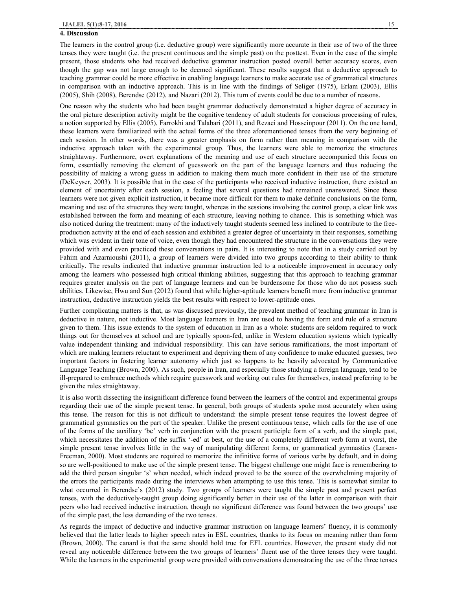#### **4. Discussion**

The learners in the control group (i.e. deductive group) were significantly more accurate in their use of two of the three tenses they were taught (i.e. the present continuous and the simple past) on the posttest. Even in the case of the simple present, those students who had received deductive grammar instruction posted overall better accuracy scores, even though the gap was not large enough to be deemed significant. These results suggest that a deductive approach to teaching grammar could be more effective in enabling language learners to make accurate use of grammatical structures in comparison with an inductive approach. This is in line with the findings of Seliger (1975), Erlam (2003), Ellis (2005), Shih (2008), Berendse (2012), and Nazari (2012). This turn of events could be due to a number of reasons.

One reason why the students who had been taught grammar deductively demonstrated a higher degree of accuracy in the oral picture description activity might be the cognitive tendency of adult students for conscious processing of rules, a notion supported by Ellis (2005), Farrokhi and Talabari (2011), and Rezaei and Hosseinpour (2011). On the one hand, these learners were familiarized with the actual forms of the three aforementioned tenses from the very beginning of each session. In other words, there was a greater emphasis on form rather than meaning in comparison with the inductive approach taken with the experimental group. Thus, the learners were able to memorize the structures straightaway. Furthermore, overt explanations of the meaning and use of each structure accompanied this focus on form, essentially removing the element of guesswork on the part of the language learners and thus reducing the possibility of making a wrong guess in addition to making them much more confident in their use of the structure (DeKeyser, 2003). It is possible that in the case of the participants who received inductive instruction, there existed an element of uncertainty after each session, a feeling that several questions had remained unanswered. Since these learners were not given explicit instruction, it became more difficult for them to make definite conclusions on the form, meaning and use of the structures they were taught, whereas in the sessions involving the control group, a clear link was established between the form and meaning of each structure, leaving nothing to chance. This is something which was also noticed during the treatment: many of the inductively taught students seemed less inclined to contribute to the freeproduction activity at the end of each session and exhibited a greater degree of uncertainty in their responses, something which was evident in their tone of voice, even though they had encountered the structure in the conversations they were provided with and even practiced these conversations in pairs. It is interesting to note that in a study carried out by Fahim and Azarnioushi (2011), a group of learners were divided into two groups according to their ability to think critically. The results indicated that inductive grammar instruction led to a noticeable improvement in accuracy only among the learners who possessed high critical thinking abilities, suggesting that this approach to teaching grammar requires greater analysis on the part of language learners and can be burdensome for those who do not possess such abilities. Likewise, Hwu and Sun (2012) found that while higher-aptitude learners benefit more from inductive grammar instruction, deductive instruction yields the best results with respect to lower-aptitude ones.

Further complicating matters is that, as was discussed previously, the prevalent method of teaching grammar in Iran is deductive in nature, not inductive. Most language learners in Iran are used to having the form and rule of a structure given to them. This issue extends to the system of education in Iran as a whole: students are seldom required to work things out for themselves at school and are typically spoon-fed, unlike in Western education systems which typically value independent thinking and individual responsibility. This can have serious ramifications, the most important of which are making learners reluctant to experiment and depriving them of any confidence to make educated guesses, two important factors in fostering learner autonomy which just so happens to be heavily advocated by Communicative Language Teaching (Brown, 2000). As such, people in Iran, and especially those studying a foreign language, tend to be ill-prepared to embrace methods which require guesswork and working out rules for themselves, instead preferring to be given the rules straightaway.

It is also worth dissecting the insignificant difference found between the learners of the control and experimental groups regarding their use of the simple present tense. In general, both groups of students spoke most accurately when using this tense. The reason for this is not difficult to understand: the simple present tense requires the lowest degree of grammatical gymnastics on the part of the speaker. Unlike the present continuous tense, which calls for the use of one of the forms of the auxiliary 'be' verb in conjunction with the present participle form of a verb, and the simple past, which necessitates the addition of the suffix '-ed' at best, or the use of a completely different verb form at worst, the simple present tense involves little in the way of manipulating different forms, or grammatical gymnastics (Larsen-Freeman, 2000). Most students are required to memorize the infinitive forms of various verbs by default, and in doing so are well-positioned to make use of the simple present tense. The biggest challenge one might face is remembering to add the third person singular 's' when needed, which indeed proved to be the source of the overwhelming majority of the errors the participants made during the interviews when attempting to use this tense. This is somewhat similar to what occurred in Berendse's (2012) study. Two groups of learners were taught the simple past and present perfect tenses, with the deductively-taught group doing significantly better in their use of the latter in comparison with their peers who had received inductive instruction, though no significant difference was found between the two groups' use of the simple past, the less demanding of the two tenses.

As regards the impact of deductive and inductive grammar instruction on language learners' fluency, it is commonly believed that the latter leads to higher speech rates in ESL countries, thanks to its focus on meaning rather than form (Brown, 2000). The canard is that the same should hold true for EFL countries. However, the present study did not reveal any noticeable difference between the two groups of learners' fluent use of the three tenses they were taught. While the learners in the experimental group were provided with conversations demonstrating the use of the three tenses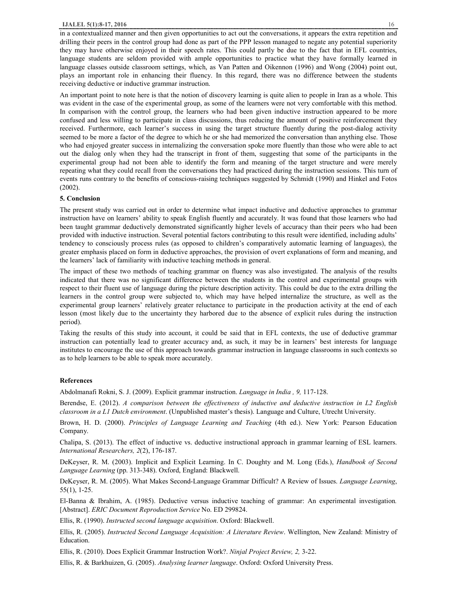#### **IJALEL 5(1):8-17, 2016** 16

in a contextualized manner and then given opportunities to act out the conversations, it appears the extra repetition and drilling their peers in the control group had done as part of the PPP lesson managed to negate any potential superiority they may have otherwise enjoyed in their speech rates. This could partly be due to the fact that in EFL countries, language students are seldom provided with ample opportunities to practice what they have formally learned in language classes outside classroom settings, which, as Van Patten and Oikennon (1996) and Wong (2004) point out, plays an important role in enhancing their fluency. In this regard, there was no difference between the students receiving deductive or inductive grammar instruction.

An important point to note here is that the notion of discovery learning is quite alien to people in Iran as a whole. This was evident in the case of the experimental group, as some of the learners were not very comfortable with this method. In comparison with the control group, the learners who had been given inductive instruction appeared to be more confused and less willing to participate in class discussions, thus reducing the amount of positive reinforcement they received. Furthermore, each learner's success in using the target structure fluently during the post-dialog activity seemed to be more a factor of the degree to which he or she had memorized the conversation than anything else. Those who had enjoyed greater success in internalizing the conversation spoke more fluently than those who were able to act out the dialog only when they had the transcript in front of them, suggesting that some of the participants in the experimental group had not been able to identify the form and meaning of the target structure and were merely repeating what they could recall from the conversations they had practiced during the instruction sessions. This turn of events runs contrary to the benefits of conscious-raising techniques suggested by Schmidt (1990) and Hinkel and Fotos (2002).

## **5. Conclusion**

The present study was carried out in order to determine what impact inductive and deductive approaches to grammar instruction have on learners' ability to speak English fluently and accurately. It was found that those learners who had been taught grammar deductively demonstrated significantly higher levels of accuracy than their peers who had been provided with inductive instruction. Several potential factors contributing to this result were identified, including adults' tendency to consciously process rules (as opposed to children's comparatively automatic learning of languages), the greater emphasis placed on form in deductive approaches, the provision of overt explanations of form and meaning, and the learners' lack of familiarity with inductive teaching methods in general.

The impact of these two methods of teaching grammar on fluency was also investigated. The analysis of the results indicated that there was no significant difference between the students in the control and experimental groups with respect to their fluent use of language during the picture description activity. This could be due to the extra drilling the learners in the control group were subjected to, which may have helped internalize the structure, as well as the experimental group learners' relatively greater reluctance to participate in the production activity at the end of each lesson (most likely due to the uncertainty they harbored due to the absence of explicit rules during the instruction period).

Taking the results of this study into account, it could be said that in EFL contexts, the use of deductive grammar instruction can potentially lead to greater accuracy and, as such, it may be in learners' best interests for language institutes to encourage the use of this approach towards grammar instruction in language classrooms in such contexts so as to help learners to be able to speak more accurately.

## **References**

Abdolmanafi Rokni, S. J. (2009). Explicit grammar instruction. *Language in India , 9,* 117-128.

Berendse, E. (2012). *A comparison between the effectiveness of inductive and deductive instruction in L2 English classroom in a L1 Dutch environment*. (Unpublished master's thesis). Language and Culture, Utrecht University.

Brown, H. D. (2000). *Principles of Language Learning and Teaching* (4th ed.). New York: Pearson Education Company.

Chalipa, S. (2013). The effect of inductive vs. deductive instructional approach in grammar learning of ESL learners. *International Researchers, 2*(2), 176-187.

DeKeyser, R. M. (2003). Implicit and Explicit Learning. In C. Doughty and M. Long (Eds.), *Handbook of Second Language Learning* (pp. 313-348). Oxford, England: Blackwell.

DeKeyser, R. M. (2005). What Makes Second-Language Grammar Difficult? A Review of Issues. *Language Learning*, 55(1), 1-25.

El-Banna & Ibrahim, A. (1985). Deductive versus inductive teaching of grammar: An experimental investigation*.*  [Abstract]. *ERIC Document Reproduction Service* No. ED 299824.

Ellis, R. (1990). *Instructed second language acquisition*. Oxford: Blackwell.

Ellis, R. (2005). *Instructed Second Language Acquisition: A Literature Review*. Wellington, New Zealand: Ministry of Education.

Ellis, R. (2010). Does Explicit Grammar Instruction Work?. *Ninjal Project Review, 2,* 3-22.

Ellis, R. & Barkhuizen, G. (2005). *Analysing learner language*. Oxford: Oxford University Press.